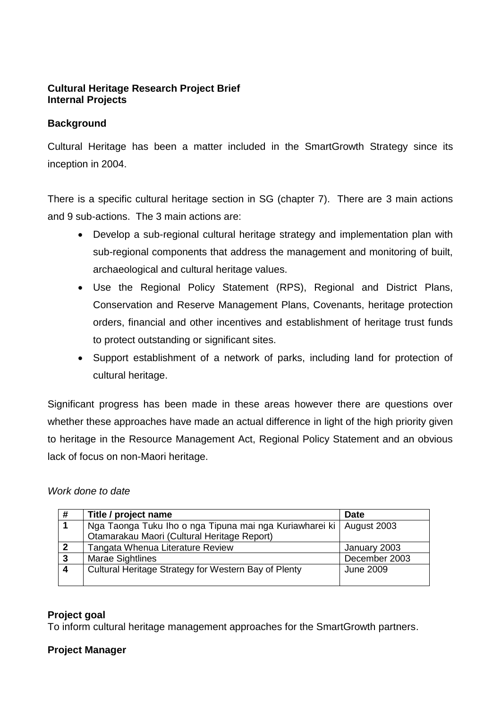### **Cultural Heritage Research Project Brief Internal Projects**

#### **Background**

Cultural Heritage has been a matter included in the SmartGrowth Strategy since its inception in 2004.

There is a specific cultural heritage section in SG (chapter 7). There are 3 main actions and 9 sub-actions. The 3 main actions are:

- Develop a sub-regional cultural heritage strategy and implementation plan with sub-regional components that address the management and monitoring of built, archaeological and cultural heritage values.
- Use the Regional Policy Statement (RPS), Regional and District Plans, Conservation and Reserve Management Plans, Covenants, heritage protection orders, financial and other incentives and establishment of heritage trust funds to protect outstanding or significant sites.
- Support establishment of a network of parks, including land for protection of cultural heritage.

Significant progress has been made in these areas however there are questions over whether these approaches have made an actual difference in light of the high priority given to heritage in the Resource Management Act, Regional Policy Statement and an obvious lack of focus on non-Maori heritage.

#### *Work done to date*

| #  | Title / project name                                                  | <b>Date</b>   |
|----|-----------------------------------------------------------------------|---------------|
|    | Nga Taonga Tuku Iho o nga Tipuna mai nga Kuriawharei ki   August 2003 |               |
|    | Otamarakau Maori (Cultural Heritage Report)                           |               |
| -2 | Tangata Whenua Literature Review                                      | January 2003  |
| 3  | <b>Marae Sightlines</b>                                               | December 2003 |
| -4 | Cultural Heritage Strategy for Western Bay of Plenty                  | June 2009     |
|    |                                                                       |               |

#### **Project goal**

To inform cultural heritage management approaches for the SmartGrowth partners.

### **Project Manager**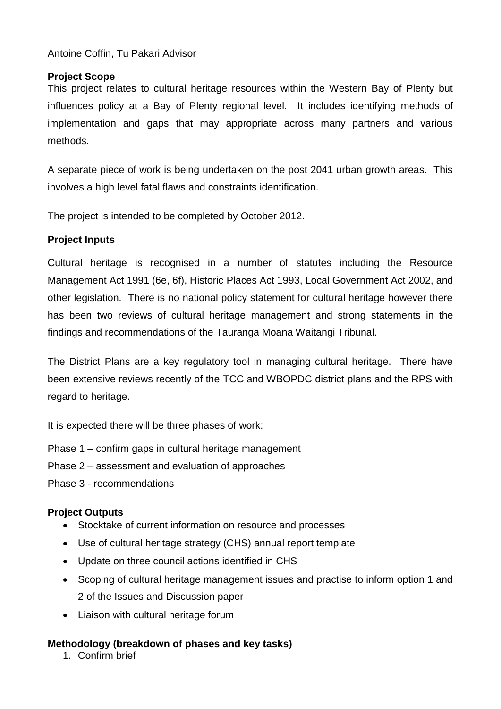#### Antoine Coffin, Tu Pakari Advisor

#### **Project Scope**

This project relates to cultural heritage resources within the Western Bay of Plenty but influences policy at a Bay of Plenty regional level. It includes identifying methods of implementation and gaps that may appropriate across many partners and various methods.

A separate piece of work is being undertaken on the post 2041 urban growth areas. This involves a high level fatal flaws and constraints identification.

The project is intended to be completed by October 2012.

### **Project Inputs**

Cultural heritage is recognised in a number of statutes including the Resource Management Act 1991 (6e, 6f), Historic Places Act 1993, Local Government Act 2002, and other legislation. There is no national policy statement for cultural heritage however there has been two reviews of cultural heritage management and strong statements in the findings and recommendations of the Tauranga Moana Waitangi Tribunal.

The District Plans are a key regulatory tool in managing cultural heritage. There have been extensive reviews recently of the TCC and WBOPDC district plans and the RPS with regard to heritage.

It is expected there will be three phases of work:

- Phase 1 confirm gaps in cultural heritage management
- Phase 2 assessment and evaluation of approaches
- Phase 3 recommendations

### **Project Outputs**

- Stocktake of current information on resource and processes
- Use of cultural heritage strategy (CHS) annual report template
- Update on three council actions identified in CHS
- Scoping of cultural heritage management issues and practise to inform option 1 and 2 of the Issues and Discussion paper
- Liaison with cultural heritage forum

### **Methodology (breakdown of phases and key tasks)**

1. Confirm brief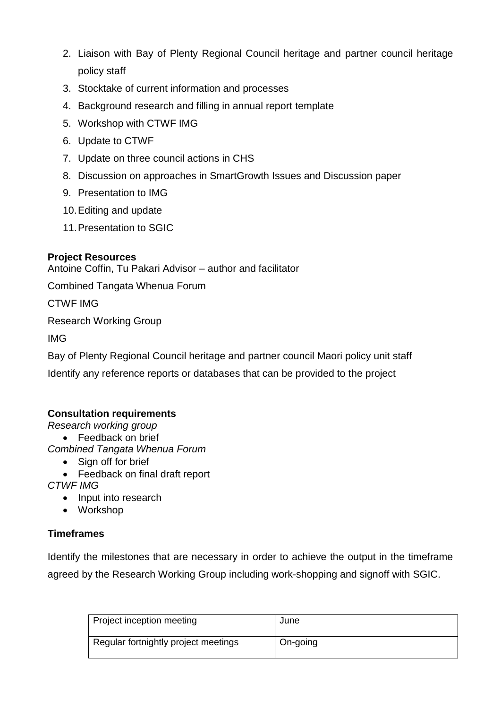- 2. Liaison with Bay of Plenty Regional Council heritage and partner council heritage policy staff
- 3. Stocktake of current information and processes
- 4. Background research and filling in annual report template
- 5. Workshop with CTWF IMG
- 6. Update to CTWF
- 7. Update on three council actions in CHS
- 8. Discussion on approaches in SmartGrowth Issues and Discussion paper
- 9. Presentation to IMG
- 10.Editing and update
- 11.Presentation to SGIC

## **Project Resources**

Antoine Coffin, Tu Pakari Advisor – author and facilitator

Combined Tangata Whenua Forum

CTWF IMG

Research Working Group

IMG

Bay of Plenty Regional Council heritage and partner council Maori policy unit staff

Identify any reference reports or databases that can be provided to the project

### **Consultation requirements**

*Research working group*

• Feedback on brief

*Combined Tangata Whenua Forum*

- Sign off for brief
- Feedback on final draft report

*CTWF IMG*

- Input into research
- Workshop

# **Timeframes**

Identify the milestones that are necessary in order to achieve the output in the timeframe agreed by the Research Working Group including work-shopping and signoff with SGIC.

| Project inception meeting            | June     |
|--------------------------------------|----------|
| Regular fortnightly project meetings | On-going |